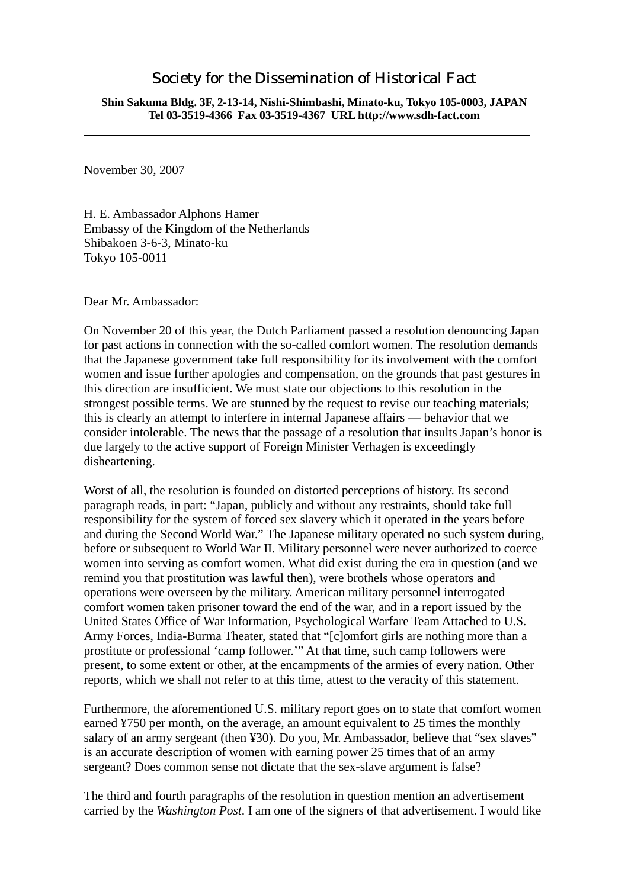## Society for the Dissemination of Historical Fact

**Shin Sakuma Bldg. 3F, 2-13-14, Nishi-Shimbashi, Minato-ku, Tokyo 105-0003, JAPAN Tel 03-3519-4366 Fax 03-3519-4367 URL http://www.sdh-fact.com** 

November 30, 2007

H. E. Ambassador Alphons Hamer Embassy of the Kingdom of the Netherlands Shibakoen 3-6-3, Minato-ku Tokyo 105-0011

Dear Mr. Ambassador:

On November 20 of this year, the Dutch Parliament passed a resolution denouncing Japan for past actions in connection with the so-called comfort women. The resolution demands that the Japanese government take full responsibility for its involvement with the comfort women and issue further apologies and compensation, on the grounds that past gestures in this direction are insufficient. We must state our objections to this resolution in the strongest possible terms. We are stunned by the request to revise our teaching materials; this is clearly an attempt to interfere in internal Japanese affairs — behavior that we consider intolerable. The news that the passage of a resolution that insults Japan's honor is due largely to the active support of Foreign Minister Verhagen is exceedingly disheartening.

Worst of all, the resolution is founded on distorted perceptions of history. Its second paragraph reads, in part: "Japan, publicly and without any restraints, should take full responsibility for the system of forced sex slavery which it operated in the years before and during the Second World War." The Japanese military operated no such system during, before or subsequent to World War II. Military personnel were never authorized to coerce women into serving as comfort women. What did exist during the era in question (and we remind you that prostitution was lawful then), were brothels whose operators and operations were overseen by the military. American military personnel interrogated comfort women taken prisoner toward the end of the war, and in a report issued by the United States Office of War Information, Psychological Warfare Team Attached to U.S. Army Forces, India-Burma Theater, stated that "[c]omfort girls are nothing more than a prostitute or professional 'camp follower.'" At that time, such camp followers were present, to some extent or other, at the encampments of the armies of every nation. Other reports, which we shall not refer to at this time, attest to the veracity of this statement.

Furthermore, the aforementioned U.S. military report goes on to state that comfort women earned ¥750 per month, on the average, an amount equivalent to 25 times the monthly salary of an army sergeant (then ¥30). Do you, Mr. Ambassador, believe that "sex slaves" is an accurate description of women with earning power 25 times that of an army sergeant? Does common sense not dictate that the sex-slave argument is false?

The third and fourth paragraphs of the resolution in question mention an advertisement carried by the *Washington Post*. I am one of the signers of that advertisement. I would like